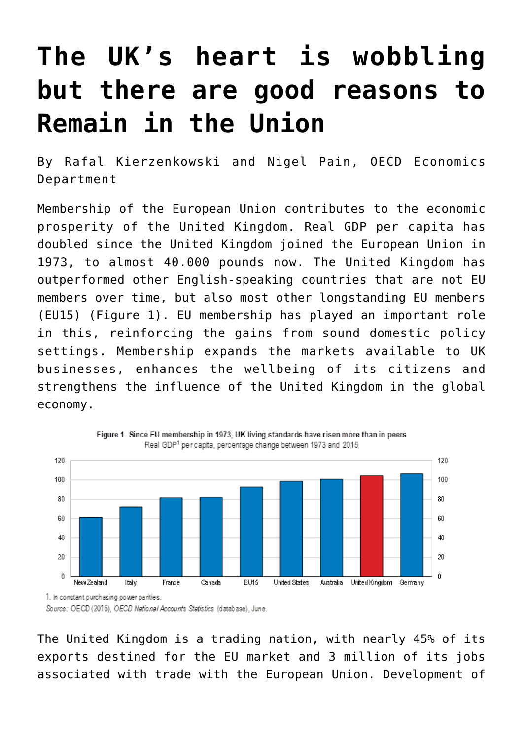## **[The UK's heart is wobbling](https://oecdecoscope.blog/2016/06/20/the-uks-heart-is-wobbling-but-there-are-good-reasons-to-remain-in-the-union/) [but there are good reasons to](https://oecdecoscope.blog/2016/06/20/the-uks-heart-is-wobbling-but-there-are-good-reasons-to-remain-in-the-union/) [Remain in the Union](https://oecdecoscope.blog/2016/06/20/the-uks-heart-is-wobbling-but-there-are-good-reasons-to-remain-in-the-union/)**

By Rafal Kierzenkowski and Nigel Pain, OECD Economics Department

Membership of the European Union contributes to the economic prosperity of the United Kingdom. Real GDP per capita has doubled since the United Kingdom joined the European Union in 1973, to almost 40.000 pounds now. The United Kingdom has outperformed other English-speaking countries that are not EU members over time, but also most other longstanding EU members (EU15) (Figure 1). EU membership has played an important role in this, reinforcing the gains from sound domestic policy settings. Membership expands the markets available to UK businesses, enhances the wellbeing of its citizens and strengthens the influence of the United Kingdom in the global economy.



The United Kingdom is a trading nation, with nearly 45% of its exports destined for the EU market and 3 million of its jobs associated with trade with the European Union. Development of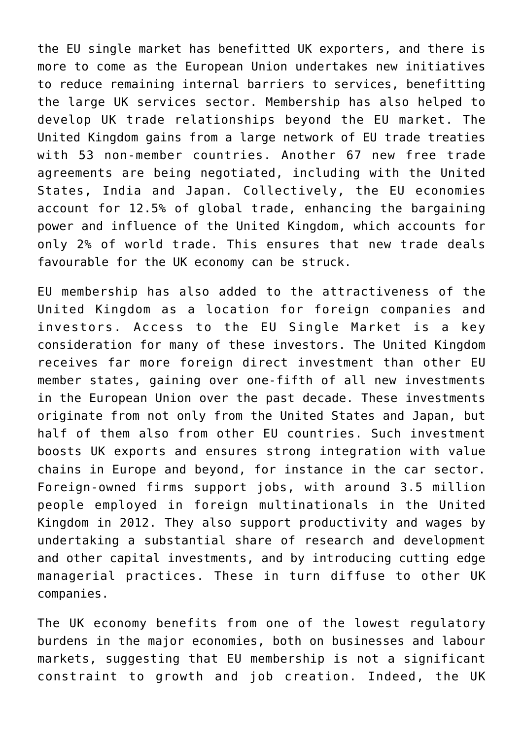the EU single market has benefitted UK exporters, and there is more to come as the European Union undertakes new initiatives to reduce remaining internal barriers to services, benefitting the large UK services sector. Membership has also helped to develop UK trade relationships beyond the EU market. The United Kingdom gains from a large network of EU trade treaties with 53 non-member countries. Another 67 new free trade agreements are being negotiated, including with the United States, India and Japan. Collectively, the EU economies account for 12.5% of global trade, enhancing the bargaining power and influence of the United Kingdom, which accounts for only 2% of world trade. This ensures that new trade deals favourable for the UK economy can be struck.

EU membership has also added to the attractiveness of the United Kingdom as a location for foreign companies and investors. Access to the EU Single Market is a key consideration for many of these investors. The United Kingdom receives far more foreign direct investment than other EU member states, gaining over one-fifth of all new investments in the European Union over the past decade. These investments originate from not only from the United States and Japan, but half of them also from other EU countries. Such investment boosts UK exports and ensures strong integration with value chains in Europe and beyond, for instance in the car sector. Foreign-owned firms support jobs, with around 3.5 million people employed in foreign multinationals in the United Kingdom in 2012. They also support productivity and wages by undertaking a substantial share of research and development and other capital investments, and by introducing cutting edge managerial practices. These in turn diffuse to other UK companies.

The UK economy benefits from one of the lowest regulatory burdens in the major economies, both on businesses and labour markets, suggesting that EU membership is not a significant constraint to growth and job creation. Indeed, the UK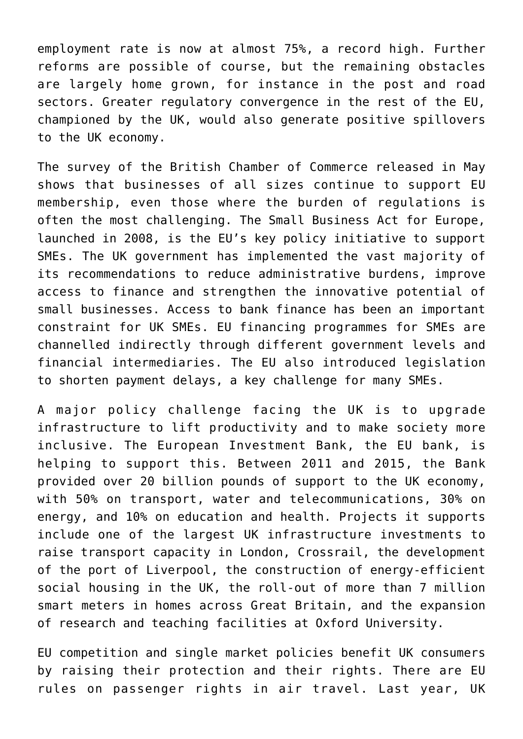employment rate is now at almost 75%, a record high. Further reforms are possible of course, but the remaining obstacles are largely home grown, for instance in the post and road sectors. Greater regulatory convergence in the rest of the EU, championed by the UK, would also generate positive spillovers to the UK economy.

The survey of the British Chamber of Commerce released in May shows that businesses of all sizes continue to support EU membership, even those where the burden of regulations is often the most challenging. The Small Business Act for Europe, launched in 2008, is the EU's key policy initiative to support SMEs. The UK government has implemented the vast majority of its recommendations to reduce administrative burdens, improve access to finance and strengthen the innovative potential of small businesses. Access to bank finance has been an important constraint for UK SMEs. EU financing programmes for SMEs are channelled indirectly through different government levels and financial intermediaries. The EU also introduced legislation to shorten payment delays, a key challenge for many SMEs.

A major policy challenge facing the UK is to upgrade infrastructure to lift productivity and to make society more inclusive. The European Investment Bank, the EU bank, is helping to support this. Between 2011 and 2015, the Bank provided over 20 billion pounds of support to the UK economy, with 50% on transport, water and telecommunications, 30% on energy, and 10% on education and health. Projects it supports include one of the largest UK infrastructure investments to raise transport capacity in London, Crossrail, the development of the port of Liverpool, the construction of energy-efficient social housing in the UK, the roll-out of more than 7 million smart meters in homes across Great Britain, and the expansion of research and teaching facilities at Oxford University.

EU competition and single market policies benefit UK consumers by raising their protection and their rights. There are EU rules on passenger rights in air travel. Last year, UK